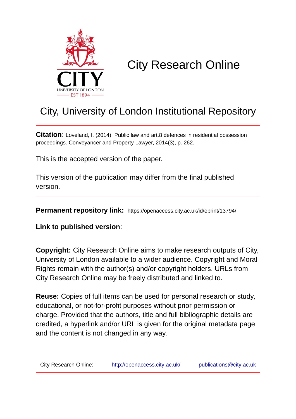

# City Research Online

## City, University of London Institutional Repository

**Citation**: Loveland, I. (2014). Public law and art.8 defences in residential possession proceedings. Conveyancer and Property Lawyer, 2014(3), p. 262.

This is the accepted version of the paper.

This version of the publication may differ from the final published version.

**Permanent repository link:** https://openaccess.city.ac.uk/id/eprint/13794/

**Link to published version**:

**Copyright:** City Research Online aims to make research outputs of City, University of London available to a wider audience. Copyright and Moral Rights remain with the author(s) and/or copyright holders. URLs from City Research Online may be freely distributed and linked to.

**Reuse:** Copies of full items can be used for personal research or study, educational, or not-for-profit purposes without prior permission or charge. Provided that the authors, title and full bibliographic details are credited, a hyperlink and/or URL is given for the original metadata page and the content is not changed in any way.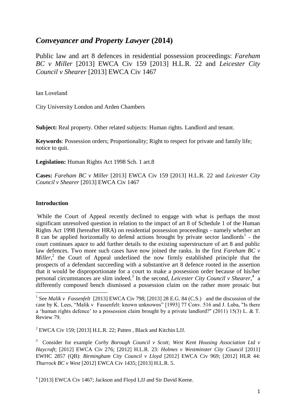### *Conveyancer and Property Lawyer* **(2014)**

Public law and art 8 defences in residential possession proceedings: *Fareham BC v Miller* [2013] EWCA Civ 159 [2013] H.L.R. 22 and *Leicester City Council v Shearer* [2013] EWCA Civ 1467

Ian Loveland

City University London and Arden Chambers

**Subject:** Real property. Other related subjects: Human rights. Landlord and tenant.

**Keywords**: Possession orders; Proportionality; Right to respect for private and family life; notice to quit.

**Legislation:** Human Rights Act 1998 Sch. 1 art.8

**Cases:** *Fareham BC v Miller* [2013] EWCA Civ 159 [2013] H.L.R. 22 and *Leicester City Council v Shearer* [2013] EWCA Civ 1467

#### **Introduction**

**.** 

While the Court of Appeal recently declined to engage with what is perhaps the most significant unresolved question in relation to the impact of art 8 of Schedule 1 of the Human Rights Act 1998 (hereafter HRA) on residential possession proceedings - namely whether art 8 can be applied horizontally to defend actions brought by private sector landlords<sup>1</sup> - the court continues apace to add further details to the existing superstructure of art 8 and public law defences. Two more such cases have now joined the ranks. In the first *Fareham BC v*  Miller,<sup>2</sup> the Court of Appeal underlined the now firmly established principle that the prospects of a defendant succeeding with a substantive art 8 defence rooted in the assertion that it would be disproportionate for a court to make a possession order because of his/her personal circumstances are slim indeed.<sup>3</sup> In the second, *Leicester City Council v Shearer*,<sup>4</sup> a differently composed bench dismissed a possession claim on the rather more prosaic but

<sup>2</sup> EWCA Civ 159: [2013] H.L.R. 22: Patten , Black and Kitchin L.L.

<sup>3</sup> Consider for example *Corby Borough Council v Scott; West Kent Housing Association Ltd v Haycraft*; [2012] EWCA Civ 276; [2012] H.L.R. 23: *Holmes v Westminster City Council* [2011] EWHC 2857 (QB): *Birmingham City Council v Lloyd* [2012] EWCA Civ 969; [2012] HLR 44: *Thurrock BC v West* [2012] EWCA Civ 1435; [2013] H.L.R. 5.

<sup>4</sup> [2013] EWCA Civ 1467; Jackson and Floyd LJJ and Sir David Keene.

<sup>&</sup>lt;sup>1</sup> See *Malik v Fassenfelt* [2013] EWCA Civ 798; [2013] 28 E.G. 84 (C.S.) and the discussion of the case by K. Lees, "Malik v Fassenfelt: known unknowns" [1993] 77 Conv. 516 and J. Luba, "Is there a 'human rights defence' to a possession claim brought by a private landlord?" (2011) 15(3) L. & T. Review 79.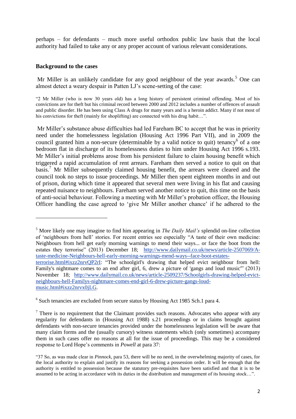perhaps – for defendants – much more useful orthodox public law basis that the local authority had failed to take any or any proper account of various relevant considerations.

#### **Background to the cases**

1

Mr Miller is an unlikely candidate for any good neighbour of the year awards.<sup>5</sup> One can almost detect a weary despair in Patten LJ's scene-setting of the case:

"2 Mr Miller (who is now 30 years old) has a long history of persistent criminal offending. Most of his convictions are for theft but his criminal record between 2000 and 2012 includes a number of offences of assault and public disorder. He has been using Class A drugs for many years and is a heroin addict. Many if not most of his convictions for theft (mainly for shoplifting) are connected with his drug habit...".

Mr Miller's substance abuse difficulties had led Fareham BC to accept that he was in priority need under the homelessness legislation (Housing Act 1996 Part VII), and in 2009 the council granted him a non-secure (determinable by a valid notice to quit) tenancy<sup>6</sup> of a one bedroom flat in discharge of its homelessness duties to him under Housing Act 1996 s.193. Mr Miller's initial problems arose from his persistent failure to claim housing benefit which triggered a rapid accumulation of rent arrears. Fareham then served a notice to quit on that basis.<sup>7</sup> Mr Miller subsequently claimed housing benefit, the arrears were cleared and the council took no steps to issue proceedings. Mr Miller then spent eighteen months in and out of prison, during which time it appeared that several men were living in his flat and causing repeated nuisance to neighbours. Fareham served another notice to quit, this time on the basis of anti-social behaviour. Following a meeting with Mr Miller's probation officer, the Housing Officer handling the case agreed to 'give Mr Miller another chance' if he adhered to the

<sup>5</sup> More likely one may imagine to find him appearing in *The Daily Mail's* splendid on-line collection of 'neighbours from hell' stories. For recent entries see especially "A taste of their own medicine: Neighbours from hell get early morning warnings to mend their ways... or face the boot from the estates they terrorise" (2013) December 18; [http://www.dailymail.co.uk/news/article-2507069/A](http://www.dailymail.co.uk/news/article-2507069/A-taste-medicine-Neighbours-hell-early-morning-warnings-mend-ways--face-boot-estates-terrorise.html#ixzz2nrvQP2rI)[taste-medicine-Neighbours-hell-early-morning-warnings-mend-ways--face-boot-estates](http://www.dailymail.co.uk/news/article-2507069/A-taste-medicine-Neighbours-hell-early-morning-warnings-mend-ways--face-boot-estates-terrorise.html#ixzz2nrvQP2rI)[terrorise.html#ixzz2nrvQP2rI:](http://www.dailymail.co.uk/news/article-2507069/A-taste-medicine-Neighbours-hell-early-morning-warnings-mend-ways--face-boot-estates-terrorise.html#ixzz2nrvQP2rI) "The schoolgirl's drawing that helped evict neighbour from hell:

Family's nightmare comes to an end after girl, 6, drew a picture of 'gangs and loud music'" (2013) November 18; [http://www.dailymail.co.uk/news/article-2509237/Schoolgirls-drawing-helped-evict](http://www.dailymail.co.uk/news/article-2509237/Schoolgirls-drawing-helped-evict-neighbours-hell-Familys-nightmare-comes-end-girl-6-drew-picture-gangs-loud-music.html#ixzz2nrvx0jLG)[neighbours-hell-Familys-nightmare-comes-end-girl-6-drew-picture-gangs-loud](http://www.dailymail.co.uk/news/article-2509237/Schoolgirls-drawing-helped-evict-neighbours-hell-Familys-nightmare-comes-end-girl-6-drew-picture-gangs-loud-music.html#ixzz2nrvx0jLG)[music.html#ixzz2nrvx0jLG.](http://www.dailymail.co.uk/news/article-2509237/Schoolgirls-drawing-helped-evict-neighbours-hell-Familys-nightmare-comes-end-girl-6-drew-picture-gangs-loud-music.html#ixzz2nrvx0jLG)

<sup>&</sup>lt;sup>6</sup> Such tenancies are excluded from secure status by Housing Act 1985 Sch.1 para 4.

 $<sup>7</sup>$  There is no requirement that the Claimant provides such reasons. Advocates who appear with any</sup> regularity for defendants in (Housing Act 1988) s.21 proceedings or in claims brought against defendants with non-secure tenancies provided under the homelessness legislation will be aware that many claim forms and the (usually cursory) witness statements which (only sometimes) accompany them in such cases offer no reasons at all for the issue of proceedings. This may be a considered response to Lord Hope's comments in *Powell* at para 37:

<sup>&</sup>quot;37 So, as was made clear in *Pinnock*, para 53, there will be no need, in the overwhelming majority of cases, for the local authority to explain and justify its reasons for seeking a possession order. It will be enough that the authority is entitled to possession because the statutory pre-requisites have been satisfied and that it is to be assumed to be acting in accordance with its duties in the distribution and management of its housing stock…".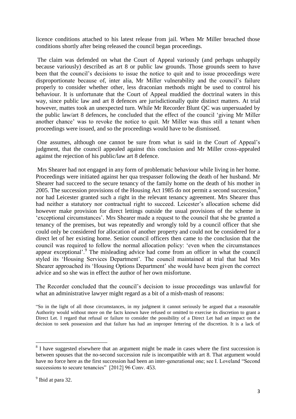licence conditions attached to his latest release from jail. When Mr Miller breached those conditions shortly after being released the council began proceedings.

The claim was defended on what the Court of Appeal variously (and perhaps unhappily because variously) described as art 8 or public law grounds. Those grounds seem to have been that the council's decisions to issue the notice to quit and to issue proceedings were disproportionate because of, inter alia, Mr Miller vulnerability and the council's failure properly to consider whether other, less draconian methods might be used to control his behaviour. It is unfortunate that the Court of Appeal muddied the doctrinal waters in this way, since public law and art 8 defences are jurisdictionally quite distinct matters. At trial however, mattes took an unexpected turn. While Mr Recorder Blunt QC was unpersuaded by the public law/art 8 defences, he concluded that the effect of the council 'giving Mr Miller another chance' was to revoke the notice to quit. Mr Miller was thus still a tenant when proceedings were issued, and so the proceedings would have to be dismissed.

One assumes, although one cannot be sure from what is said in the Court of Appeal's judgment, that the council appealed against this conclusion and Mr Miller cross-appealed against the rejection of his public/law art 8 defence.

Mrs Shearer had not engaged in any form of problematic behaviour while living in her home. Proceedings were initiated against her qua trespasser following the death of her husband. Mr Shearer had succeed to the secure tenancy of the family home on the death of his mother in 2005. The succession provisions of the Housing Act 1985 do not permit a second succession,<sup>8</sup> nor had Leicester granted such a right in the relevant tenancy agreement. Mrs Shearer thus had neither a statutory nor contractual right to succeed. Leicester's allocation scheme did however make provision for direct lettings outside the usual provisions of the scheme in 'exceptional circumstances'. Mrs Shearer made a request to the council that she be granted a tenancy of the premises, but was repeatedly and wrongly told by a council officer that she could only be considered for allocation of another property and could not be considered for a direct let of her existing home. Senior council officers then came to the conclusion that the council was required to follow the normal allocation policy: 'even when the circumstances appear exceptional'.<sup>9</sup> The misleading advice had come from an officer in what the council styled its 'Housing Services Department'. The council maintained at trial that had Mrs Shearer approached its 'Housing Options Department' she would have been given the correct advice and so she was in effect the author of her own misfortune.

The Recorder concluded that the council's decision to issue proceedings was unlawful for what an administrative lawyer might regard as a bit of a mish-mash of reasons:

"So in the light of all those circumstances, in my judgment it cannot seriously be argued that a reasonable Authority would without more on the facts known have refused or omitted to exercise its discretion to grant a Direct Let. I regard that refusal or failure to consider the possibility of a Direct Let had an impact on the decision to seek possession and that failure has had an improper fettering of the discretion. It is a lack of

<sup>&</sup>lt;sup>8</sup> I have suggested elsewhere that an argument might be made in cases where the first succession is between spouses that the no-second succession rule is incompatible with art 8. That argument would have no force here as the first succession had been an inter-generational one; see I. Loveland "Second successions to secure tenancies" [2012] 96 Conv. 453.

<sup>&</sup>lt;sup>9</sup> Ibid at para 32.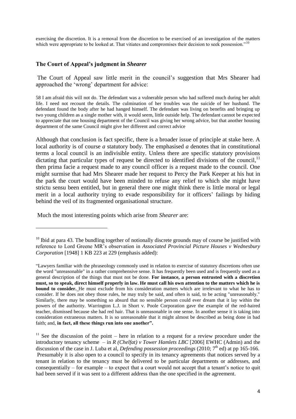exercising the discretion. It is a removal from the discretion to be exercised of an investigation of the matters which were appropriate to be looked at. That vitiates and compromises their decision to seek possession."<sup>10</sup>

#### **The Court of Appeal's judgment in** *Shearer*

The Court of Appeal saw little merit in the council's suggestion that Mrs Shearer had approached the 'wrong' department for advice:

58 I am afraid this will not do. The defendant was a vulnerable person who had suffered much during her adult life. I need not recount the details. The culmination of her troubles was the suicide of her husband. The defendant found the body after he had hanged himself. The defendant was living on benefits and bringing up two young children as a single mother with, it would seem, little outside help. The defendant cannot be expected to appreciate that one housing department of the Council was giving her wrong advice, but that another housing department of the same Council might give her different and correct advice

Although that conclusion is fact specific, there is a broader issue of principle at stake here. A local authority is of course *a* statutory body. The emphasised *a* denotes that in constitutional terms a local council is an indivisible entity. Unless there are specific statutory provisions dictating that particular types of request be directed to identified divisions of the council, $<sup>11</sup>$ </sup> then prima facie a request made to any council officer is a request made to the council. One might surmise that had Mrs Shearer made her request to Percy the Park Keeper at his hut in the park the court would have been minded to refuse any relief to which she might have strictu sensu been entitled, but in general there one might think there is little moral or legal merit in a local authority trying to evade responsibility for it officers' failings by hiding behind the veil of its fragmented organisational structure.

Much the most interesting points which arise from *Shearer* are:

1

 $10$  Ibid at para 43. The bundling together of notionally discrete grounds may of course be justified with reference to Lord Greene MR's observation in *Associated Provincial Picture Houses v Wednesbury Corporation* [1948] 1 KB 223 at 229 (emphasis added):

<sup>&</sup>quot;Lawyers familiar with the phraseology commonly used in relation to exercise of statutory discretions often use the word "unreasonable" in a rather comprehensive sense. It has frequently been used and is frequently used as a general description of the things that must not be done. **For instance, a person entrusted with a discretion must, so to speak, direct himself properly in law. He must call his own attention to the matters which he is bound to consider.** He must exclude from his consideration matters which are irrelevant to what he has to consider. If he does not obey those rules, he may truly be said, and often is said, to be acting "unreasonably." Similarly, there may be something so absurd that no sensible person could ever dream that it lay within the powers of the authority. Warrington L.J. in Short v. Poole Corporation gave the example of the red-haired teacher, dismissed because she had red hair. That is unreasonable in one sense. In another sense it is taking into consideration extraneous matters. It is so unreasonable that it might almost be described as being done in bad faith; and, **in fact, all these things run into one another".**

 $11$  See the discussion of the point – here in relation to a request for a review procedure under the introductory tenancy scheme – in *R (Chelfat) v Tower Hamlets LBC* [2006] EWHC (Admin) and the discussion of the case in J. Luba et al, *Defending possession proceedings* (2010; 7<sup>th</sup> ed) at pp 165-166. Presumably it is also open to a council to specify in its tenancy agreements that notices served by a tenant in relation to the tenancy must be delivered to be particular departments or addresses, and consequentially – for example – to expect that a court would not accept that a tenant's notice to quit had been served if it was sent to a different address than the one specified in the agreement.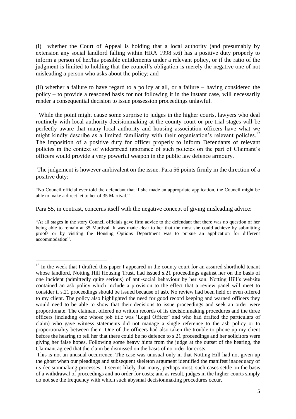(i) whether the Court of Appeal is holding that a local authority (and presumably by extension any social landlord falling within HRA 1998 s.6) has a positive duty properly to inform a person of her/his possible entitlements under a relevant policy, or if the ratio of the judgment is limited to holding that the council's obligation is merely the negative one of not misleading a person who asks about the policy; and

(ii) whether a failure to have regard to a policy at all, or a failure – having considered the policy – to provide a reasoned basis for not following it in the instant case, will necessarily render a consequential decision to issue possession proceedings unlawful.

While the point might cause some surprise to judges in the higher courts, lawyers who deal routinely with local authority decisionmaking at the county court or pre-trial stages will be perfectly aware that many local authority and housing association officers have what we might kindly describe as a limited familiarity with their organisation's relevant policies.<sup>12</sup> The imposition of a positive duty for officer properly to inform Defendants of relevant policies in the context of widespread ignorance of such policies on the part of Claimant's officers would provide a very powerful weapon in the public law defence armoury.

The judgement is however ambivalent on the issue. Para 56 points firmly in the direction of a positive duty:

"No Council official ever told the defendant that if she made an appropriate application, the Council might be able to make a direct let to her of 35 Martival."

Para 55, in contrast, concerns itself with the negative concept of giving misleading advice:

1

<sup>&</sup>quot;At all stages in the story Council officials gave firm advice to the defendant that there was no question of her being able to remain at 35 Martival. It was made clear to her that the most she could achieve by submitting proofs or by visiting the Housing Options Department was to pursue an application for different accommodation".

 $12$  In the week that I drafted this paper I appeared in the county court for an assured shorthold tenant whose landlord, Notting Hill Housing Trust, had issued s.21 proceedings against her on the basis of one incident (admittedly quite serious) of anti-social behaviour by her son. Notting Hill's website contained an asb policy which include a provision to the effect that a review panel will meet to consider if s.21 proceedings should be issued because of asb. No review had been held or even offered to my client. The policy also highlighted the need for good record keeping and warned officers they would need to be able to show that their decisions to issue proceedings and seek an order were proportionate. The claimant offered no written records of its decisionmaking procedures and the three officers (including one whose job title was 'Legal Officer' and who had drafted the particulars of claim) who gave witness statements did not manage a single reference to the asb policy or to proportionality between them. One of the officers had also taken the trouble to phone up my client before the hearing to tell her that there could be no defence to s.21 proceedings and her solicitors were giving her false hopes. Following some heavy hints from the judge at the outset of the hearing, the Claimant agreed that the claim be dismissed on the basis of no order for costs.

This is not an unusual occurrence. The case was unusual only in that Notting Hill had not given up the ghost when our pleadings and subsequent skeleton argument identified the manifest inadequacy of its decisionmaking processes. It seems likely that many, perhaps most, such cases settle on the basis of a withdrawal of proceedings and no order for costs; and as result, judges in the higher courts simply do not see the frequency with which such abysmal decisionmaking procedures occur.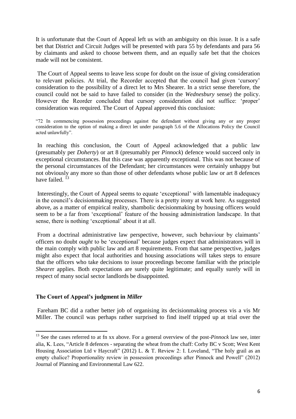It is unfortunate that the Court of Appeal left us with an ambiguity on this issue. It is a safe bet that District and Circuit Judges will be presented with para 55 by defendants and para 56 by claimants and asked to choose between them, and an equally safe bet that the choices made will not be consistent.

The Court of Appeal seems to leave less scope for doubt on the issue of giving consideration to relevant policies. At trial, the Recorder accepted that the council had given 'cursory' consideration to the possibility of a direct let to Mrs Shearer. In a strict sense therefore, the council could not be said to have failed to consider (in the *Wednesbury* sense) the policy. However the Reorder concluded that cursory consideration did not suffice: 'proper' consideration was required. The Court of Appeal approved this conclusion:

"72 In commencing possession proceedings against the defendant without giving any or any proper consideration to the option of making a direct let under paragraph 5.6 of the Allocations Policy the Council acted unlawfully".

In reaching this conclusion, the Court of Appeal acknowledged that a public law (presumably per *Doherty*) or art 8 (presumably per *Pinnock*) defence would succeed only in exceptional circumstances. But this case was apparently exceptional. This was not because of the personal circumstances of the Defendant; her circumstances were certainly unhappy but not obviously any more so than those of other defendants whose public law or art 8 defences have failed.<sup>13</sup>

Interestingly, the Court of Appeal seems to equate 'exceptional' with lamentable inadequacy in the council's decisionmaking processes. There is a pretty irony at work here. As suggested above, as a matter of empirical reality, shambolic decisionmaking by housing officers would seem to be a far from 'exceptional' feature of the housing administration landscape. In that sense, there is nothing 'exceptional' about it at all.

From a doctrinal administrative law perspective, however, such behaviour by claimants' officers no doubt *ought* to be 'exceptional' because judges expect that administrators will in the main comply with public law and art 8 requirements. From that same perspective, judges might also expect that local authorities and housing associations will takes steps to ensure that the officers who take decisions to issue proceedings become familiar with the principle *Sheare*r applies. Both expectations are surely quite legitimate; and equally surely will in respect of many social sector landlords be disappointed.

#### **The Court of Appeal's judgment in** *Miller*

**.** 

Fareham BC did a rather better job of organising its decisionmaking process vis a vis Mr Miller. The council was perhaps rather surprised to find itself tripped up at trial over the

<sup>13</sup> See the cases referred to at fn xx above. For a general overview of the post-*Pinnock* law see, inter alia, K. Lees, "Article 8 defences - separating the wheat from the chaff: Corby BC v Scott; West Kent Housing Association Ltd v Haycraft" (2012) L. & T. Review 2: I. Loveland, "The holy grail as an empty chalice? Proportionality review in possession proceedings after Pinnock and Powell" (2012) Journal of Planning and Environmental Law 622.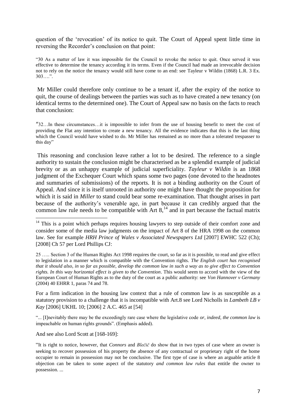question of the 'revocation' of its notice to quit. The Court of Appeal spent little time in reversing the Recorder's conclusion on that point:

"30 As a matter of law it was impossible for the Council to revoke the notice to quit. Once served it was effective to determine the tenancy according it its terms. Even if the Council had made an irrevocable decision not to rely on the notice the tenancy would still have come to an end: see Tayleur v Wildin (1868) L.R. 3 Ex. 303….".

Mr Miller could therefore only continue to be a tenant if, after the expiry of the notice to quit, the course of dealings between the parties was such as to have created a new tenancy (on identical terms to the determined one). The Court of Appeal saw no basis on the facts to reach that conclusion:

"32…In these circumstances…it is impossible to infer from the use of housing benefit to meet the cost of providing the Flat any intention to create a new tenancy. All the evidence indicates that this is the last thing which the Council would have wished to do. Mr Miller has remained as no more than a tolerated trespasser to this day"

This reasoning and conclusion leave rather a lot to be desired. The reference to a single authority to sustain the conclusion might be characterised as be a splendid example of judicial brevity or as an unhappy example of judicial superficiality. *Tayleur v Wildin* is an 1868 judgment of the Exchequer Court which spans some two pages (one devoted to the headnotes and summaries of submissions) of the reports. It is not a binding authority on the Court of Appeal. And since it is itself unrooted in authority one might have thought the proposition for which it is said in *Miller* to stand could bear some re-examination. That thought arises in part because of the authority's venerable age, in part because it can credibly argued that the common law rule needs to be compatible with Art  $8<sup>14</sup>$  and in part because the factual matrix

For a firm indication in the housing law context that a rule of common law is as susceptible as a statutory provision to a challenge that it is incompatible with Art.8 see Lord Nicholls in *Lambeth LB v Kay* [2006] UKHL 10; [2006] 2 A.C. 465 at [54]

"... [I]nevitably there may be the exceedingly rare case where the legislative code *or, indeed, the common law* is impeachable on human rights grounds". (Emphasis added).

And see also Lord Scott at [168-169]:

1

 $14$  This is a point which perhaps requires housing lawyers to step outside of their comfort zone and consider some of the media law judgments on the impact of Art 8 of the HRA 1998 on the common law. See for example *HRH Prince of Wales v Associated Newspapers Ltd* [2007] EWHC 522 (Ch); [2008] Ch 57 per Lord Phillips CJ:

<sup>25 …..</sup> Section 3 of the Human Rights Act 1998 requires the court, so far as it is possible, to read and give effect to legislation in a manner which is compatible with the Convention rights. *The English court has recognised that it should also, in so far as possible, develop the common law in such a way as to give effect to Convention rights. In this way horizontal effect is given to the Convention*. This would seem to accord with the view of the European Court of Human Rights as to the duty of the court as a public authority: see *Von Hannover v Germany* (2004) 40 EHRR 1, paras 74 and 78.

<sup>&</sup>quot;It is right to notice, however, that *Connors* and *Blečič* do show that in two types of case where an owner is seeking to recover possession of his property the absence of any contractual or proprietary right of the home occupier to remain in possession may not be conclusive. The first type of case is where an arguable article 8 objection can be taken to some aspect of the statutory *and common law rules* that entitle the owner to possession. ...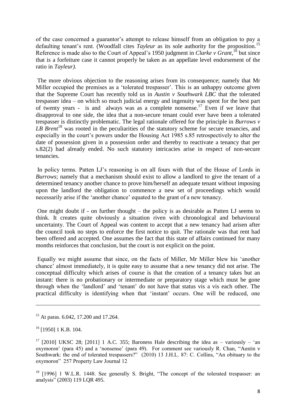of the case concerned a guarantor's attempt to release himself from an obligation to pay a defaulting tenant's rent. (Woodfall cites *Tayleur* as its sole authority for the proposition.<sup>15</sup> Reference is made also to the Court of Appeal's 1950 judgment in *Clarke v Grant*, <sup>16</sup> but since that is a forfeiture case it cannot properly be taken as an appellate level endorsement of the ratio in *Tayleur).*

The more obvious objection to the reasoning arises from its consequence; namely that Mr Miller occupied the premises as a 'tolerated trespasser'. This is an unhappy outcome given that the Supreme Court has recently told us in *Austin v Southwark LBC* that the tolerated trespasser idea – on which so much judicial energy and ingenuity was spent for the best part of twenty years - is and always was as a complete nonsense.<sup>17</sup> Even if we leave that disapproval to one side, the idea that a non-secure tenant could ever have been a tolerated trespasser is distinctly problematic. The legal rationale offered for the principle in *Burrows v*  LB Brent<sup>18</sup> was rooted in the peculiarities of the statutory scheme for secure tenancies, and especially in the court's powers under the Housing Act 1985 s.85 retrospectively to alter the date of possession given in a possession order and thereby to reactivate a tenancy that per s.82(2) had already ended. No such statutory intricacies arise in respect of non-secure tenancies.

In policy terms. Patten LJ's reasoning is on all fours with that of the House of Lords in *Burrows*; namely that a mechanism should exist to allow a landlord to give the tenant of a determined tenancy another chance to prove him/herself an adequate tenant without imposing upon the landlord the obligation to commence a new set of proceedings which would necessarily arise if the 'another chance' equated to the grant of a new tenancy.

One might doubt if - on further thought – the policy is as desirable as Patten LJ seems to think. It creates quite obviously a situation riven with chronological and behavioural uncertainty. The Court of Appeal was content to accept that a new tenancy had arisen after the council took no steps to enforce the first notice to quit. The rationale was that rent had been offered and accepted. One assumes the fact that this state of affairs continued for many months reinforces that conclusion, but the court is not explicit on the point.

Equally we might assume that since, on the facts of Miller, Mr Miller blew his 'another chance' almost immediately, it is quite easy to assume that a new tenancy did not arise. The conceptual difficulty which arises of course is that the creation of a tenancy takes but an instant: there is no probationary or intermediate or preparatory stage which must be gone through when the 'landlord' and 'tenant' do not have that status vis a vis each other. The practical difficulty is identifying when that 'instant' occurs. One will be reduced, one

**.** 

<sup>&</sup>lt;sup>15</sup> At paras. 6.042, 17.200 and 17.264.

<sup>&</sup>lt;sup>16</sup> [1950] 1 K.B. 104.

<sup>&</sup>lt;sup>17</sup> [2010] UKSC 28; [2011] 1 A.C. 355; Baroness Hale describing the idea as – variously – 'an oxymoron' (para 45) and a 'nonsense' (para 49). For comment see variously R. Chan, "Austin v Southwark: the end of tolerated trespassers?" (2010) 13 J.H.L. 87: C. Collins, "An obituary to the oxymoron" 257 Property Law Journal 12

<sup>&</sup>lt;sup>18</sup> [1996] 1 W.L.R. 1448. See generally S. Bright, "The concept of the tolerated trespasser: an analysis" (2003) 119 LQR 495.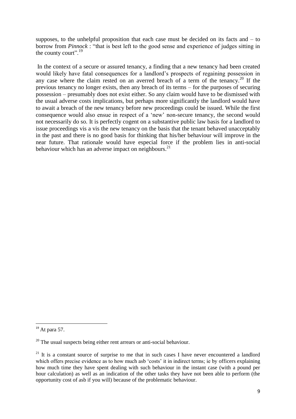supposes, to the unhelpful proposition that each case must be decided on its facts and – to borrow from *Pinnock* : "that is best left to the good sense and experience of judges sitting in the county court".  $19$ 

In the context of a secure or assured tenancy, a finding that a new tenancy had been created would likely have fatal consequences for a landlord's prospects of regaining possession in any case where the claim rested on an averred breach of a term of the tenancy. <sup>20</sup> If the previous tenancy no longer exists, then any breach of its terms – for the purposes of securing possession – presumably does not exist either. So any claim would have to be dismissed with the usual adverse costs implications, but perhaps more significantly the landlord would have to await a breach of the new tenancy before new proceedings could be issued. While the first consequence would also ensue in respect of a 'new' non-secure tenancy, the second would not necessarily do so. It is perfectly cogent on a substantive public law basis for a landlord to issue proceedings vis a vis the new tenancy on the basis that the tenant behaved unacceptably in the past and there is no good basis for thinking that his/her behaviour will improve in the near future. That rationale would have especial force if the problem lies in anti-social behaviour which has an adverse impact on neighbours.<sup>21</sup>

**.** 

 $19$  At para 57.

 $20$  The usual suspects being either rent arrears or anti-social behaviour.

 $21$  It is a constant source of surprise to me that in such cases I have never encountered a landlord which offers precise evidence as to how much asb 'costs' it in indirect terms; ie by officers explaining how much time they have spent dealing with such behaviour in the instant case (with a pound per hour calculation) as well as an indication of the other tasks they have not been able to perform (the opportunity cost of asb if you will) because of the problematic behaviour.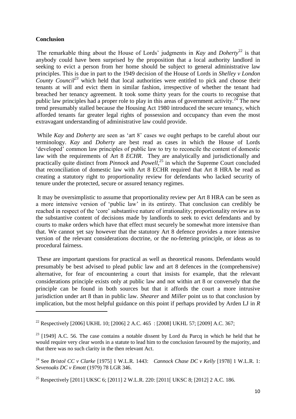#### **Conclusion**

1

The remarkable thing about the House of Lords' judgments in *Kay* and *Doherty*<sup>22</sup> is that anybody could have been surprised by the proposition that a local authority landlord in seeking to evict a person from her home should be subject to general administrative law principles. This is due in part to the 1949 decision of the House of Lords in *Shelley v London County Council<sup>23</sup>* which held that local authorities were entitled to pick and choose their tenants at will and evict them in similar fashion, irrespective of whether the tenant had breached her tenancy agreement*.* It took some thirty years for the courts to recognise that public law principles had a proper role to play in this areas of government activity.<sup>24</sup> The new trend presumably stalled because the Housing Act 1980 introduced the secure tenancy, which afforded tenants far greater legal rights of possession and occupancy than even the most extravagant understanding of administrative law could provide.

While *Kay* and *Doherty* are seen as 'art 8' cases we ought perhaps to be careful about our terminology. *Kay* and *Doherty* are best read as cases in which the House of Lords 'developed' common law principles of public law to try to reconcile the content of domestic law with the requirements of Art 8 *ECHR*. They are analytically and jurisdictionally and practically quite distinct from *Pinnock* and *Powell*<sup>25</sup> in which the Supreme Court concluded that reconciliation of domestic law with Art 8 ECHR required that Art 8 HRA be read as creating a statutory right to proportionality review for defendants who lacked security of tenure under the protected, secure or assured tenancy regimes.

It may be oversimplistic to assume that proportionality review per Art 8 HRA can be seen as a more intensive version of 'public law' in its entirety. That conclusion can credibly be reached in respect of the 'core' substantive nature of irrationality; proportionality review as to the substantive content of decisions made by landlords to seek to evict defendants and by courts to make orders which have that effect must securely be somewhat more intensive than that. We cannot yet say however that the statutory Art 8 defence provides a more intensive version of the relevant considerations doctrine, or the no-fettering principle, or ideas as to procedural fairness.

These are important questions for practical as well as theoretical reasons. Defendants would presumably be best advised to plead public law and art 8 defences in the (comprehensive) alternative, for fear of encountering a court that insists for example, that the relevant considerations principle exists only at public law and not within art 8 or conversely that the principle can be found in both sources but that it affords the court a more intrusive jurisdiction under art 8 than in public law. *Shearer* and *Miller* point us to that conclusion by implication, but the most helpful guidance on this point if perhaps provided by Arden LJ in *R* 

<sup>&</sup>lt;sup>22</sup> Respectively [2006] UKHL 10; [2006] 2 A.C. 465 : [2008] UKHL 57; [2009] A.C. 367;

 $^{23}$  [1949] A.C. 56. The case contains a notable dissent by Lord du Parcq in which he held that he would require very clear words in a statute to lead him to the conclusion favoured by the majority, and that there was no such clarity in the then relevant Act.

<sup>24</sup> See *Bristol CC v Clarke* [1975] 1 W.L.R. 1443: *Cannock Chase DC v Kelly* [1978] 1 W.L.R. 1: *Sevenoaks DC v Emott* (1979) 78 LGR 346.

<sup>&</sup>lt;sup>25</sup> Respectively [2011] UKSC 6; [2011] 2 W.L.R. 220: [2011] UKSC 8; [2012] 2 A.C. 186.